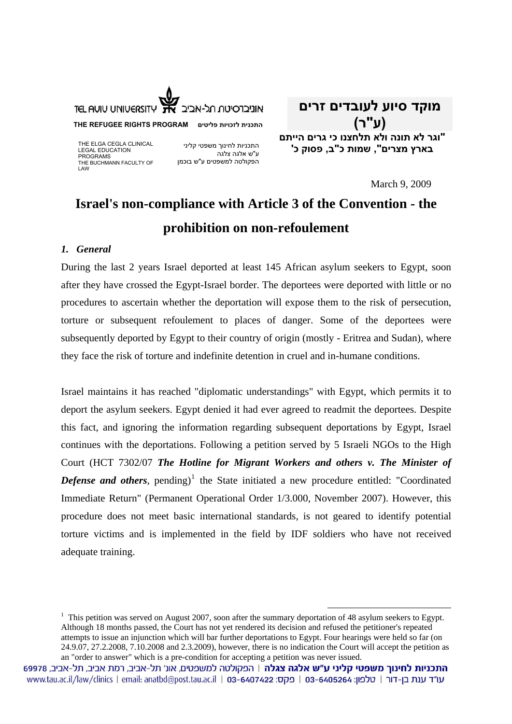

**THE REFUGEE RIGHTS PROGRAM פליטים לזכויות התכנית**

THE ELGA CEGLA CLINICAL LEGAL EDUCATION PROGRAMS THE BUCHMANN FACULTY OF LAW

התכניות לחינוך משפטי קליני ע"ש אלגה צלגה הפקולטה למשפטים ע"ש בוכמן

**מוקד סיוע לעובדים זרים (ע"ר) "וגר לא תונה ולא תלחצנו כי גרים הייתם בארץ מצרים", שמות כ"ב, פסוק כ'** 

March 9, 2009

# **Israel's non-compliance with Article 3 of the Convention - the prohibition on non-refoulement**

### *1. General*

During the last 2 years Israel deported at least 145 African asylum seekers to Egypt, soon after they have crossed the Egypt-Israel border. The deportees were deported with little or no procedures to ascertain whether the deportation will expose them to the risk of persecution, torture or subsequent refoulement to places of danger. Some of the deportees were subsequently deported by Egypt to their country of origin (mostly - Eritrea and Sudan), where they face the risk of torture and indefinite detention in cruel and in-humane conditions.

Israel maintains it has reached "diplomatic understandings" with Egypt, which permits it to deport the asylum seekers. Egypt denied it had ever agreed to readmit the deportees. Despite this fact, and ignoring the information regarding subsequent deportations by Egypt, Israel continues with the deportations. Following a petition served by 5 Israeli NGOs to the High Court (HCT 7302/07 *The Hotline for Migrant Workers and others v. The Minister of*  **Defense and others**, pending)<sup>[1](#page-0-0)</sup> the State initiated a new procedure entitled: "Coordinated Immediate Return" (Permanent Operational Order 1/3.000, November 2007). However, this procedure does not meet basic international standards, is not geared to identify potential torture victims and is implemented in the field by IDF soldiers who have not received adequate training.

<sup>&</sup>lt;sup>1</sup> This petition was served on August 2007, soon after the summary deportation of 48 asylum seekers to Egypt. Although 18 months passed, the Court has not yet rendered its decision and refused the petitioner's repeated attempts to issue an injunction which will bar further deportations to Egypt. Four hearings were held so far (on 24.9.07, 27.2.2008, 7.10.2008 and 2.3.2009), however, there is no indication the Court will accept the petition as an "order to answer" which is a pre-condition for accepting a petition was never issued.

<span id="page-0-0"></span>התכניות לחינוך משפטי קליני ע״ש אלגה צגלה | הפקולטה למשפטים, אונ׳ תל-אביב, רמת אביב, תל-אביב, 69978 www.tau.ac.il/law/clinics | email: anatbd@post.tau.ac.il | 03-6407422 :כקס: 03-6405264 | www.tau.ac.il/law/clinics | email: anatbd@post.tau.ac.il | 03-6407422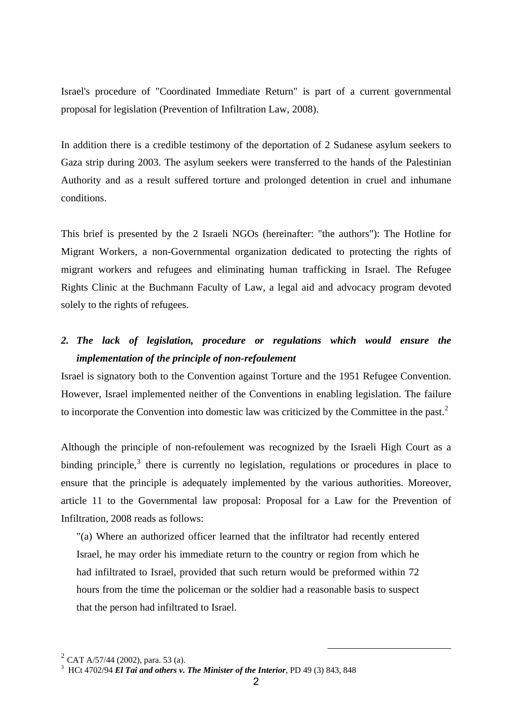Israel's procedure of "Coordinated Immediate Return" is part of a current governmental proposal for legislation (Prevention of Infiltration Law, 2008).

In addition there is a credible testimony of the deportation of 2 Sudanese asylum seekers to Gaza strip during 2003. The asylum seekers were transferred to the hands of the Palestinian Authority and as a result suffered torture and prolonged detention in cruel and inhumane conditions.

This brief is presented by the 2 Israeli NGOs (hereinafter: "the authors"): The Hotline for Migrant Workers, a non-Governmental organization dedicated to protecting the rights of migrant workers and refugees and eliminating human trafficking in Israel. The Refugee Rights Clinic at the Buchmann Faculty of Law, a legal aid and advocacy program devoted solely to the rights of refugees.

### *2. The lack of legislation, procedure or regulations which would ensure the implementation of the principle of non-refoulement*

Israel is signatory both to the Convention against Torture and the 1951 Refugee Convention. However, Israel implemented neither of the Conventions in enabling legislation. The failure to incorporate the Convention into domestic law was criticized by the Committee in the past.<sup>[2](#page-1-0)</sup>

Although the principle of non-refoulement was recognized by the Israeli High Court as a binding principle,<sup>[3](#page-1-1)</sup> there is currently no legislation, regulations or procedures in place to ensure that the principle is adequately implemented by the various authorities. Moreover, article 11 to the Governmental law proposal: Proposal for a Law for the Prevention of Infiltration, 2008 reads as follows:

"(a) Where an authorized officer learned that the infiltrator had recently entered Israel, he may order his immediate return to the country or region from which he had infiltrated to Israel, provided that such return would be preformed within 72 hours from the time the policeman or the soldier had a reasonable basis to suspect that the person had infiltrated to Israel.

<span id="page-1-0"></span><sup>&</sup>lt;sup>2</sup> CAT A/57/44 (2002), para. 53 (a).

<span id="page-1-1"></span>HCt 4702/94 *El Tai and others v. The Minister of the Interior*, PD 49 (3) 843, 848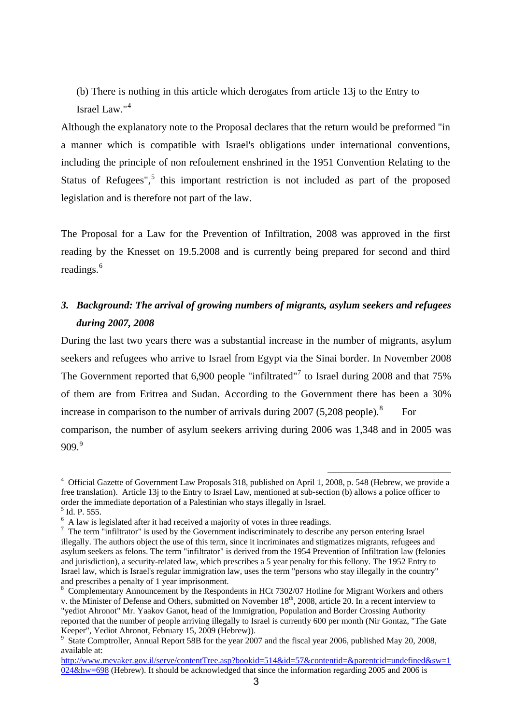(b) There is nothing in this article which derogates from article 13j to the Entry to Israel Law."[4](#page-2-0)

Although the explanatory note to the Proposal declares that the return would be preformed "in a manner which is compatible with Israel's obligations under international conventions, including the principle of non refoulement enshrined in the 1951 Convention Relating to the Status of Refugees", $5$  this important restriction is not included as part of the proposed legislation and is therefore not part of the law.

The Proposal for a Law for the Prevention of Infiltration, 2008 was approved in the first reading by the Knesset on 19.5.2008 and is currently being prepared for second and third readings.<sup>[6](#page-2-2)</sup>

### *3. Background: The arrival of growing numbers of migrants, asylum seekers and refugees during 2007, 2008*

During the last two years there was a substantial increase in the number of migrants, asylum seekers and refugees who arrive to Israel from Egypt via the Sinai border. In November 2008 The Government reported that 6,900 people "infiltrated"<sup>[7](#page-2-3)</sup> to Israel during 2008 and that 75% of them are from Eritrea and Sudan. According to the Government there has been a 30% increase in comparison to the number of arrivals during  $2007$  (5,20[8](#page-2-4) people).<sup>8</sup> For comparison, the number of asylum seekers arriving during 2006 was 1,348 and in 2005 was  $909.<sup>9</sup>$  $909.<sup>9</sup>$ 

<span id="page-2-0"></span><sup>&</sup>lt;sup>4</sup> Official Gazette of Government Law Proposals 318, published on April 1, 2008, p. 548 (Hebrew, we provide a free translation). Article 13j to the Entry to Israel Law, mentioned at sub-section (b) allows a police officer to order the immediate deportation of a Palestinian who stays illegally in Israel.

<span id="page-2-1"></span><sup>5</sup> Id. P. 555.

 $^6$  A law is legislated after it had received a majority of votes in three readings.<br><sup>7</sup> The term "infiltrater" is used by the Government indicariminately to describe

<span id="page-2-3"></span><span id="page-2-2"></span> $\frac{7}{1}$  The term "infiltrator" is used by the Government indiscriminately to describe any person entering Israel illegally. The authors object the use of this term, since it incriminates and stigmatizes migrants, refugees and asylum seekers as felons. The term "infiltrator" is derived from the 1954 Prevention of Infiltration law (felonies and jurisdiction), a security-related law, which prescribes a 5 year penalty for this fellony. The 1952 Entry to Israel law, which is Israel's regular immigration law, uses the term "persons who stay illegally in the country" and prescribes a penalty of 1 year imprisonment.

<span id="page-2-4"></span><sup>&</sup>lt;sup>8</sup> Complementary Announcement by the Respondents in HCt 7302/07 Hotline for Migrant Workers and others v. the Minister of Defense and Others, submitted on November  $18<sup>th</sup>$ , 2008, article 20. In a recent interview to "yediot Ahronot" Mr. Yaakov Ganot, head of the Immigration, Population and Border Crossing Authority reported that the number of people arriving illegally to Israel is currently 600 per month (Nir Gontaz, "The Gate Keeper", Yediot Ahronot, February 15, 2009 (Hebrew)).

<span id="page-2-5"></span><sup>&</sup>lt;sup>9</sup> State Comptroller, Annual Report 58B for the year 2007 and the fiscal year 2006, published May 20, 2008, available at:

[http://www.mevaker.gov.il/serve/contentTree.asp?bookid=514&id=57&contentid=&parentcid=undefined&sw=1](http://www.mevaker.gov.il/serve/contentTree.asp?bookid=514&id=57&contentid=&parentcid=undefined&sw=1024&hw=698) [024&hw=698](http://www.mevaker.gov.il/serve/contentTree.asp?bookid=514&id=57&contentid=&parentcid=undefined&sw=1024&hw=698) (Hebrew). It should be acknowledged that since the information regarding 2005 and 2006 is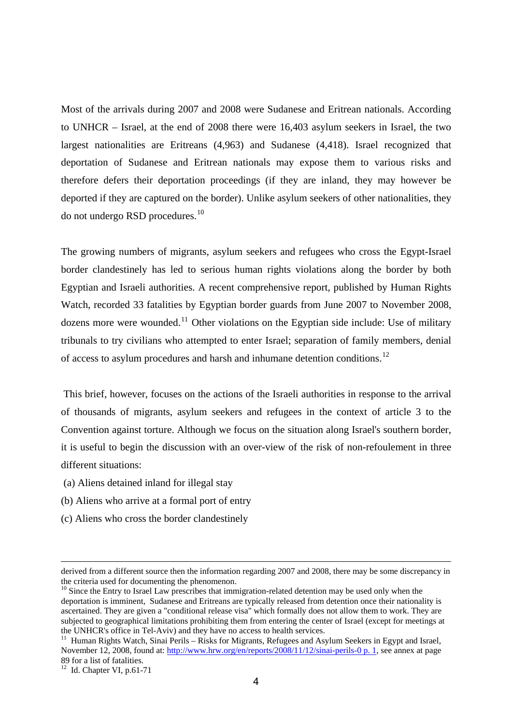Most of the arrivals during 2007 and 2008 were Sudanese and Eritrean nationals. According to UNHCR – Israel, at the end of 2008 there were 16,403 asylum seekers in Israel, the two largest nationalities are Eritreans (4,963) and Sudanese (4,418). Israel recognized that deportation of Sudanese and Eritrean nationals may expose them to various risks and therefore defers their deportation proceedings (if they are inland, they may however be deported if they are captured on the border). Unlike asylum seekers of other nationalities, they do not undergo RSD procedures.[10](#page-3-0)

The growing numbers of migrants, asylum seekers and refugees who cross the Egypt-Israel border clandestinely has led to serious human rights violations along the border by both Egyptian and Israeli authorities. A recent comprehensive report, published by Human Rights Watch, recorded 33 fatalities by Egyptian border guards from June 2007 to November 2008, dozens more were wounded.<sup>[11](#page-3-1)</sup> Other violations on the Egyptian side include: Use of military tribunals to try civilians who attempted to enter Israel; separation of family members, denial of access to asylum procedures and harsh and inhumane detention conditions.[12](#page-3-2)

This brief, however, focuses on the actions of the Israeli authorities in response to the arrival of thousands of migrants, asylum seekers and refugees in the context of article 3 to the Convention against torture. Although we focus on the situation along Israel's southern border, it is useful to begin the discussion with an over-view of the risk of non-refoulement in three different situations:

(a) Aliens detained inland for illegal stay

- (b) Aliens who arrive at a formal port of entry
- (c) Aliens who cross the border clandestinely

derived from a different source then the information regarding 2007 and 2008, there may be some discrepancy in the criteria used for documenting the phenomenon.

<span id="page-3-0"></span> $10$  Since the Entry to Israel Law prescribes that immigration-related detention may be used only when the deportation is imminent, Sudanese and Eritreans are typically released from detention once their nationality is ascertained. They are given a "conditional release visa" which formally does not allow them to work. They are subjected to geographical limitations prohibiting them from entering the center of Israel (except for meetings at the UNHCR's office in Tel-Aviv) and they have no access to health services.

<span id="page-3-1"></span><sup>&</sup>lt;sup>11</sup> Human Rights Watch, Sinai Perils – Risks for Migrants, Refugees and Asylum Seekers in Egypt and Israel, November 12, 2008, found at: [http://www.hrw.org/en/reports/2008/11/12/sinai-perils-0 p. 1,](http://www.hrw.org/en/reports/2008/11/12/sinai-perils-0%20p.%201) see annex at page 89 for a list of fatalities.

<span id="page-3-2"></span> $12$  Id. Chapter VI, p.61-71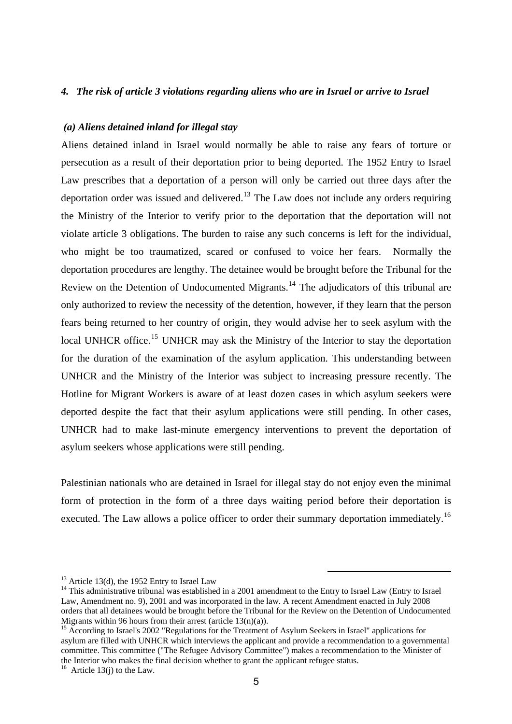#### *4. The risk of article 3 violations regarding aliens who are in Israel or arrive to Israel*

### *(a) Aliens detained inland for illegal stay*

Aliens detained inland in Israel would normally be able to raise any fears of torture or persecution as a result of their deportation prior to being deported. The 1952 Entry to Israel Law prescribes that a deportation of a person will only be carried out three days after the deportation order was issued and delivered.<sup>[13](#page-4-0)</sup> The Law does not include any orders requiring the Ministry of the Interior to verify prior to the deportation that the deportation will not violate article 3 obligations. The burden to raise any such concerns is left for the individual, who might be too traumatized, scared or confused to voice her fears. Normally the deportation procedures are lengthy. The detainee would be brought before the Tribunal for the Review on the Detention of Undocumented Migrants.<sup>[14](#page-4-1)</sup> The adjudicators of this tribunal are only authorized to review the necessity of the detention, however, if they learn that the person fears being returned to her country of origin, they would advise her to seek asylum with the local UNHCR office.<sup>[15](#page-4-2)</sup> UNHCR may ask the Ministry of the Interior to stay the deportation for the duration of the examination of the asylum application. This understanding between UNHCR and the Ministry of the Interior was subject to increasing pressure recently. The Hotline for Migrant Workers is aware of at least dozen cases in which asylum seekers were deported despite the fact that their asylum applications were still pending. In other cases, UNHCR had to make last-minute emergency interventions to prevent the deportation of asylum seekers whose applications were still pending.

Palestinian nationals who are detained in Israel for illegal stay do not enjoy even the minimal form of protection in the form of a three days waiting period before their deportation is executed. The Law allows a police officer to order their summary deportation immediately.<sup>[16](#page-4-3)</sup>

 $13$  Article 13(d), the 1952 Entry to Israel Law

<span id="page-4-1"></span><span id="page-4-0"></span><sup>&</sup>lt;sup>14</sup> This administrative tribunal was established in a 2001 amendment to the Entry to Israel Law (Entry to Israel Law, Amendment no. 9), 2001 and was incorporated in the law. A recent Amendment enacted in July 2008 orders that all detainees would be brought before the Tribunal for the Review on the Detention of Undocumented Migrants within 96 hours from their arrest (article  $13(n)(a)$ ).

<span id="page-4-2"></span><sup>&</sup>lt;sup>15</sup> According to Israel's 2002 "Regulations for the Treatment of Asylum Seekers in Israel" applications for asylum are filled with UNHCR which interviews the applicant and provide a recommendation to a governmental committee. This committee ("The Refugee Advisory Committee") makes a recommendation to the Minister of the Interior who makes the final decision whether to grant the applicant refugee status. 16 Article 13(j) to the Law.

<span id="page-4-3"></span>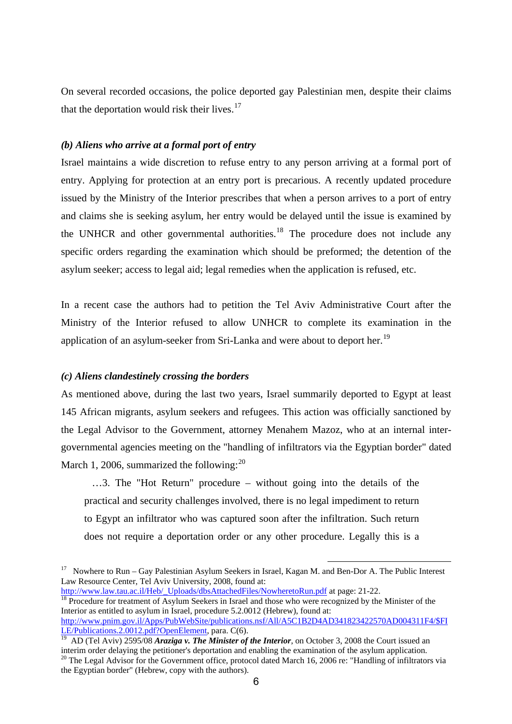On several recorded occasions, the police deported gay Palestinian men, despite their claims that the deportation would risk their lives. $17$ 

### *(b) Aliens who arrive at a formal port of entry*

Israel maintains a wide discretion to refuse entry to any person arriving at a formal port of entry. Applying for protection at an entry port is precarious. A recently updated procedure issued by the Ministry of the Interior prescribes that when a person arrives to a port of entry and claims she is seeking asylum, her entry would be delayed until the issue is examined by the UNHCR and other governmental authorities.<sup>[18](#page-5-1)</sup> The procedure does not include any specific orders regarding the examination which should be preformed; the detention of the asylum seeker; access to legal aid; legal remedies when the application is refused, etc.

In a recent case the authors had to petition the Tel Aviv Administrative Court after the Ministry of the Interior refused to allow UNHCR to complete its examination in the application of an asylum-seeker from Sri-Lanka and were about to deport her.<sup>[19](#page-5-2)</sup>

#### *(c) Aliens clandestinely crossing the borders*

As mentioned above, during the last two years, Israel summarily deported to Egypt at least 145 African migrants, asylum seekers and refugees. This action was officially sanctioned by the Legal Advisor to the Government, attorney Menahem Mazoz, who at an internal intergovernmental agencies meeting on the "handling of infiltrators via the Egyptian border" dated March 1, [20](#page-5-3)06, summarized the following: $^{20}$ 

 …3. The "Hot Return" procedure – without going into the details of the practical and security challenges involved, there is no legal impediment to return to Egypt an infiltrator who was captured soon after the infiltration. Such return does not require a deportation order or any other procedure. Legally this is a

 $\overline{a}$ 

<span id="page-5-1"></span> $\frac{18}{18}$  $\frac{18}{18}$  $\frac{18}{18}$  Procedure for treatment of Asylum Seekers in Israel and those who were recognized by the Minister of the Interior as entitled to asylum in Israel, procedure 5.2.0012 (Hebrew), found at: [http://www.pnim.gov.il/Apps/PubWebSite/publications.nsf/All/A5C1B2D4AD341823422570AD004311F4/\\$FI](http://www.pnim.gov.il/Apps/PubWebSite/publications.nsf/All/A5C1B2D4AD341823422570AD004311F4/$FILE/Publications.2.0012.pdf?OpenElement) [LE/Publications.2.0012.pdf?OpenElement,](http://www.pnim.gov.il/Apps/PubWebSite/publications.nsf/All/A5C1B2D4AD341823422570AD004311F4/$FILE/Publications.2.0012.pdf?OpenElement) para. C(6).

<span id="page-5-0"></span><sup>&</sup>lt;sup>17</sup> Nowhere to Run – Gay Palestinian Asylum Seekers in Israel, Kagan M. and Ben-Dor A. The Public Interest Law Resource Center, Tel Aviv University, 2008, found at:<br>http://www.law.tau.ac.il/Heb/ Uploads/dbsAttachedFiles/NowheretoRun.pdf at page: 21-22.

<span id="page-5-3"></span><span id="page-5-2"></span><sup>&</sup>lt;sup>19</sup> AD (Tel Aviv) 2595/08 *Araziga v. The Minister of the Interior*, on October 3, 2008 the Court issued an interim order delaying the petitioner's deportation and enabling the examination of the asylum application. <sup>20</sup> The Legal Advisor for the Government office, protocol dated March 16, 2006 re: "Handling of infiltrators via the Egyptian border" (Hebrew, copy with the authors).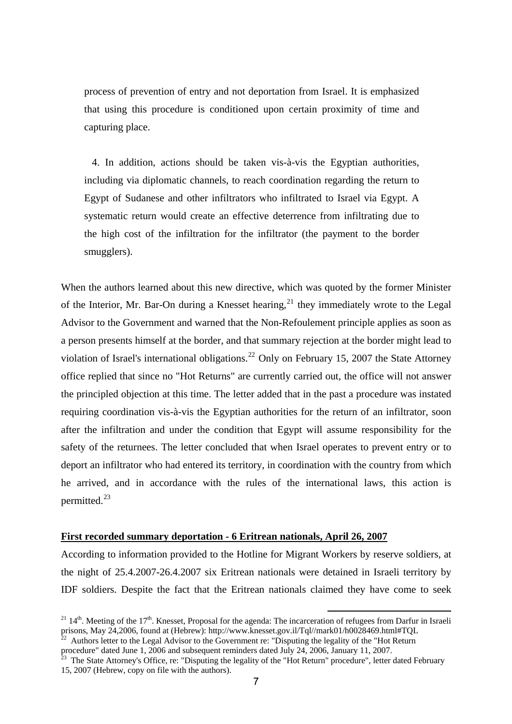process of prevention of entry and not deportation from Israel. It is emphasized that using this procedure is conditioned upon certain proximity of time and capturing place.

 4. In addition, actions should be taken vis-à-vis the Egyptian authorities, including via diplomatic channels, to reach coordination regarding the return to Egypt of Sudanese and other infiltrators who infiltrated to Israel via Egypt. A systematic return would create an effective deterrence from infiltrating due to the high cost of the infiltration for the infiltrator (the payment to the border smugglers).

When the authors learned about this new directive, which was quoted by the former Minister of the Interior, Mr. Bar-On during a Knesset hearing,  $^{21}$  $^{21}$  $^{21}$  they immediately wrote to the Legal Advisor to the Government and warned that the Non-Refoulement principle applies as soon as a person presents himself at the border, and that summary rejection at the border might lead to violation of Israel's international obligations.<sup>[22](#page-6-1)</sup> Only on February 15, 2007 the State Attorney office replied that since no "Hot Returns" are currently carried out, the office will not answer the principled objection at this time. The letter added that in the past a procedure was instated requiring coordination vis-à-vis the Egyptian authorities for the return of an infiltrator, soon after the infiltration and under the condition that Egypt will assume responsibility for the safety of the returnees. The letter concluded that when Israel operates to prevent entry or to deport an infiltrator who had entered its territory, in coordination with the country from which he arrived, and in accordance with the rules of the international laws, this action is permitted.[23](#page-6-2)

#### **First recorded summary deportation - 6 Eritrean nationals, April 26, 2007**

According to information provided to the Hotline for Migrant Workers by reserve soldiers, at the night of 25.4.2007-26.4.2007 six Eritrean nationals were detained in Israeli territory by IDF soldiers. Despite the fact that the Eritrean nationals claimed they have come to seek

<span id="page-6-0"></span><sup>&</sup>lt;sup>21</sup> 14<sup>th</sup>. Meeting of the 17<sup>th</sup>. Knesset, Proposal for the agenda: The incarceration of refugees from Darfur in Israeli prisons, May 24,2006, found at (Hebrew): http://www.knesset.gov.il/Tql//mark01/h0028469.html#TQL

<span id="page-6-1"></span>Authors letter to the Legal Advisor to the Government re: "Disputing the legality of the "Hot Return procedure" dated June 1, 2006 and subsequent reminders dated July 24, 2006, January 11, 2007.

<span id="page-6-2"></span> $^{23}$  The State Attorney's Office, re: "Disputing the legality of the "Hot Return" procedure", letter dated February 15, 2007 (Hebrew, copy on file with the authors).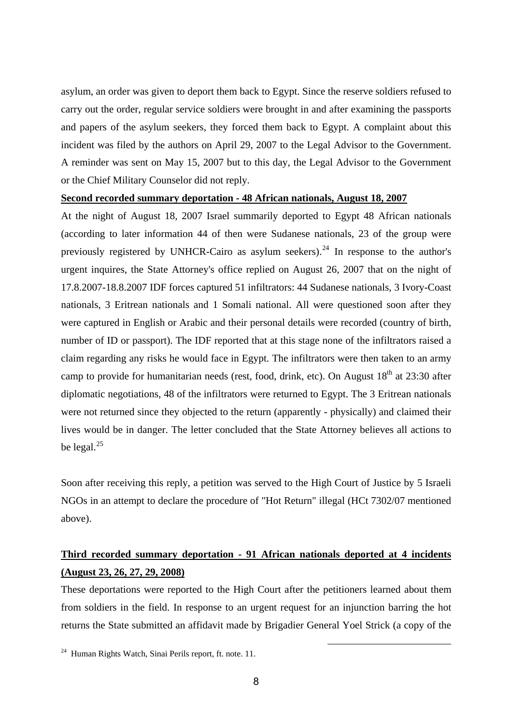asylum, an order was given to deport them back to Egypt. Since the reserve soldiers refused to carry out the order, regular service soldiers were brought in and after examining the passports and papers of the asylum seekers, they forced them back to Egypt. A complaint about this incident was filed by the authors on April 29, 2007 to the Legal Advisor to the Government. A reminder was sent on May 15, 2007 but to this day, the Legal Advisor to the Government or the Chief Military Counselor did not reply.

#### **Second recorded summary deportation - 48 African nationals, August 18, 2007**

At the night of August 18, 2007 Israel summarily deported to Egypt 48 African nationals (according to later information 44 of then were Sudanese nationals, 23 of the group were previously registered by UNHCR-Cairo as asylum seekers).<sup>[24](#page-7-0)</sup> In response to the author's urgent inquires, the State Attorney's office replied on August 26, 2007 that on the night of 17.8.2007-18.8.2007 IDF forces captured 51 infiltrators: 44 Sudanese nationals, 3 Ivory-Coast nationals, 3 Eritrean nationals and 1 Somali national. All were questioned soon after they were captured in English or Arabic and their personal details were recorded (country of birth, number of ID or passport). The IDF reported that at this stage none of the infiltrators raised a claim regarding any risks he would face in Egypt. The infiltrators were then taken to an army camp to provide for humanitarian needs (rest, food, drink, etc). On August  $18<sup>th</sup>$  at 23:30 after diplomatic negotiations, 48 of the infiltrators were returned to Egypt. The 3 Eritrean nationals were not returned since they objected to the return (apparently - physically) and claimed their lives would be in danger. The letter concluded that the State Attorney believes all actions to be legal. $^{25}$  $^{25}$  $^{25}$ 

Soon after receiving this reply, a petition was served to the High Court of Justice by 5 Israeli NGOs in an attempt to declare the procedure of "Hot Return" illegal (HCt 7302/07 mentioned above).

## **Third recorded summary deportation - 91 African nationals deported at 4 incidents (August 23, 26, 27, 29, 2008)**

<span id="page-7-1"></span>These deportations were reported to the High Court after the petitioners learned about them from soldiers in the field. In response to an urgent request for an injunction barring the hot returns the State submitted an affidavit made by Brigadier General Yoel Strick (a copy of the

<span id="page-7-0"></span> <sup>24</sup> Human Rights Watch, Sinai Perils report, ft. note. 11.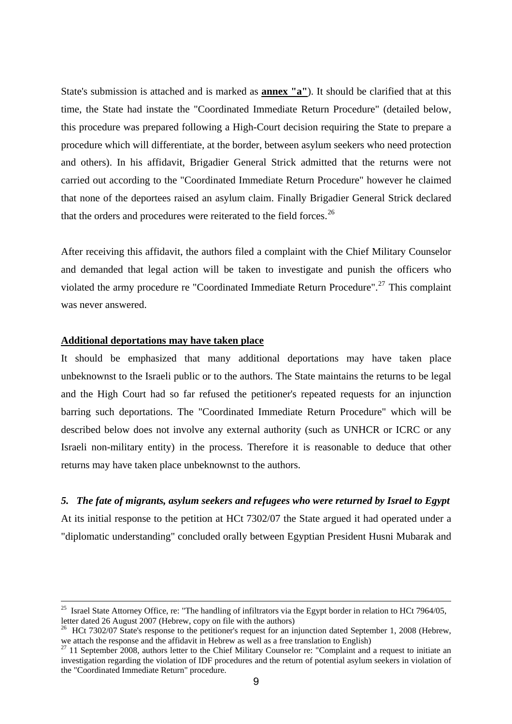State's submission is attached and is marked as **annex "a"**). It should be clarified that at this time, the State had instate the "Coordinated Immediate Return Procedure" (detailed below, this procedure was prepared following a High-Court decision requiring the State to prepare a procedure which will differentiate, at the border, between asylum seekers who need protection and others). In his affidavit, Brigadier General Strick admitted that the returns were not carried out according to the "Coordinated Immediate Return Procedure" however he claimed that none of the deportees raised an asylum claim. Finally Brigadier General Strick declared that the orders and procedures were reiterated to the field forces.<sup>[26](#page-8-0)</sup>

After receiving this affidavit, the authors filed a complaint with the Chief Military Counselor and demanded that legal action will be taken to investigate and punish the officers who violated the army procedure re "Coordinated Immediate Return Procedure".<sup>[27](#page-8-1)</sup> This complaint was never answered.

#### **Additional deportations may have taken place**

It should be emphasized that many additional deportations may have taken place unbeknownst to the Israeli public or to the authors. The State maintains the returns to be legal and the High Court had so far refused the petitioner's repeated requests for an injunction barring such deportations. The "Coordinated Immediate Return Procedure" which will be described below does not involve any external authority (such as UNHCR or ICRC or any Israeli non-military entity) in the process. Therefore it is reasonable to deduce that other returns may have taken place unbeknownst to the authors.

#### *5. The fate of migrants, asylum seekers and refugees who were returned by Israel to Egypt*

At its initial response to the petition at HCt 7302/07 the State argued it had operated under a "diplomatic understanding" concluded orally between Egyptian President Husni Mubarak and

<sup>&</sup>lt;sup>25</sup> Israel State Attorney Office, re: "The handling of infiltrators via the Egypt border in relation to HCt 7964/05, letter dated 26 August 2007 (Hebrew, copy on file with the authors)

<span id="page-8-0"></span><sup>&</sup>lt;sup>26</sup> HCt 7302/07 State's response to the petitioner's request for an injunction dated September 1, 2008 (Hebrew, we attach the response and the affidavit in Hebrew as well as a free translation to English)

<span id="page-8-1"></span> $27$  11 September 2008, authors letter to the Chief Military Counselor re: "Complaint and a request to initiate an investigation regarding the violation of IDF procedures and the return of potential asylum seekers in violation of the "Coordinated Immediate Return" procedure.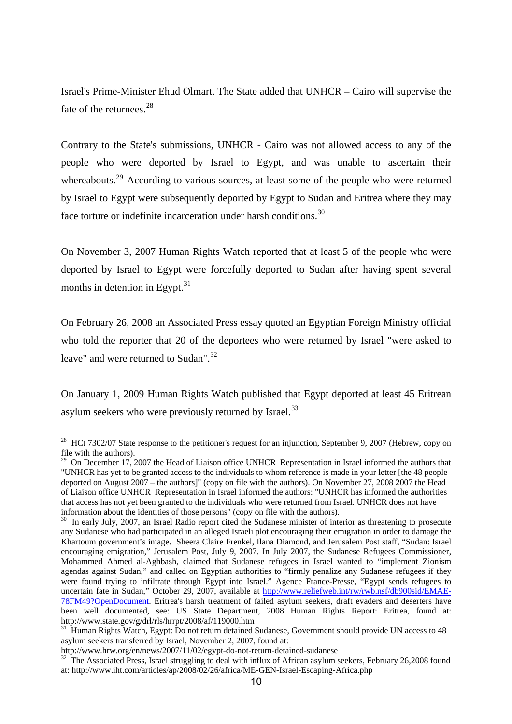Israel's Prime-Minister Ehud Olmart. The State added that UNHCR – Cairo will supervise the fate of the returnees.<sup>[28](#page-9-0)</sup>

Contrary to the State's submissions, UNHCR - Cairo was not allowed access to any of the people who were deported by Israel to Egypt, and was unable to ascertain their whereabouts.<sup>[29](#page-9-1)</sup> According to various sources, at least some of the people who were returned by Israel to Egypt were subsequently deported by Egypt to Sudan and Eritrea where they may face torture or indefinite incarceration under harsh conditions.<sup>[30](#page-9-2)</sup>

On November 3, 2007 Human Rights Watch reported that at least 5 of the people who were deported by Israel to Egypt were forcefully deported to Sudan after having spent several months in detention in Egypt. $31$ 

On February 26, 2008 an Associated Press essay quoted an Egyptian Foreign Ministry official who told the reporter that 20 of the deportees who were returned by Israel "were asked to leave" and were returned to Sudan".<sup>[32](#page-9-4)</sup>

On January 1, 2009 Human Rights Watch published that Egypt deported at least 45 Eritrean asylum seekers who were previously returned by Israel.<sup>[33](#page-9-1)</sup>

<span id="page-9-0"></span><sup>&</sup>lt;sup>28</sup> HCt 7302/07 State response to the petitioner's request for an injunction, September 9, 2007 (Hebrew, copy on file with the authors).

<span id="page-9-1"></span> $29$  On December 17, 2007 the Head of Liaison office UNHCR Representation in Israel informed the authors that "UNHCR has yet to be granted access to the individuals to whom reference is made in your letter [the 48 people deported on August 2007 – the authors]" (copy on file with the authors). On November 27, 2008 2007 the Head of Liaison office UNHCR Representation in Israel informed the authors: "UNHCR has informed the authorities that access has not yet been granted to the individuals who were returned from Israel. UNHCR does not have information about the identities of those persons" (copy on file with the authors).

<span id="page-9-2"></span> $30$  In early July, 2007, an Israel Radio report cited the Sudanese minister of interior as threatening to prosecute any Sudanese who had participated in an alleged Israeli plot encouraging their emigration in order to damage the Khartoum government's image. Sheera Claire Frenkel, Ilana Diamond, and Jerusalem Post staff, "Sudan: Israel encouraging emigration," Jerusalem Post, July 9, 2007. In July 2007, the Sudanese Refugees Commissioner, Mohammed Ahmed al-Aghbash, claimed that Sudanese refugees in Israel wanted to "implement Zionism agendas against Sudan," and called on Egyptian authorities to "firmly penalize any Sudanese refugees if they were found trying to infiltrate through Egypt into Israel." Agence France-Presse, "Egypt sends refugees to uncertain fate in Sudan," October 29, 2007, available at [http://www.reliefweb.int/rw/rwb.nsf/db900sid/EMAE-](http://www.reliefweb.int/rw/rwb.nsf/db900sid/EMAE-78FM49?OpenDocument)[78FM49?OpenDocument](http://www.reliefweb.int/rw/rwb.nsf/db900sid/EMAE-78FM49?OpenDocument). Eritrea's harsh treatment of failed asylum seekers, draft evaders and deserters have been well documented, see: US State Department, 2008 Human Rights Report: Eritrea, found at: http://www.state.gov/g/drl/rls/hrrpt/2008/af/119000.htm<br><sup>31</sup> Human Rights Watch, Egypt: Do not return detained Sudanese, Government should provide UN access to 48

<span id="page-9-3"></span>asylum seekers transferred by Israel, November 2, 2007, found at:

<span id="page-9-4"></span>http://www.hrw.org/en/news/2007/11/02/egypt-do-not-return-detained-sudanese<br><sup>32</sup> The Associated Press, Israel struggling to deal with influx of African asylum seekers, February 26,2008 found at: http://www.iht.com/articles/ap/2008/02/26/africa/ME-GEN-Israel-Escaping-Africa.php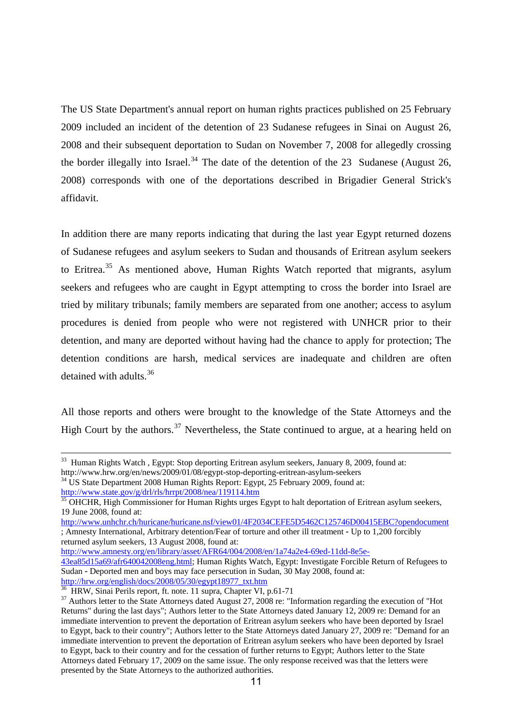The US State Department's annual report on human rights practices published on 25 February 2009 included an incident of the detention of 23 Sudanese refugees in Sinai on August 26, 2008 and their subsequent deportation to Sudan on November 7, 2008 for allegedly crossing the border illegally into Israel.<sup>[34](#page-10-0)</sup> The date of the detention of the 23 Sudanese (August 26, 2008) corresponds with one of the deportations described in Brigadier General Strick's affidavit.

In addition there are many reports indicating that during the last year Egypt returned dozens of Sudanese refugees and asylum seekers to Sudan and thousands of Eritrean asylum seekers to Eritrea.<sup>[35](#page-10-1)</sup> As mentioned above, Human Rights Watch reported that migrants, asylum seekers and refugees who are caught in Egypt attempting to cross the border into Israel are tried by military tribunals; family members are separated from one another; access to asylum procedures is denied from people who were not registered with UNHCR prior to their detention, and many are deported without having had the chance to apply for protection; The detention conditions are harsh, medical services are inadequate and children are often detained with adults.<sup>[36](#page-10-2)</sup>

All those reports and others were brought to the knowledge of the State Attorneys and the High Court by the authors.<sup>[37](#page-10-3)</sup> Nevertheless, the State continued to argue, at a hearing held on

[http://www.amnesty.org/en/library/asset/AFR64/004/2008/en/1a74a2e4-69ed-11dd-8e5e-](http://www.amnesty.org/en/library/asset/AFR64/004/2008/en/1a74a2e4-69ed-11dd-8e5e-43ea85d15a69/afr640042008eng.html)

<sup>&</sup>lt;sup>33</sup> Human Rights Watch, Egypt: Stop deporting Eritrean asylum seekers, January 8, 2009, found at: http://www.hrw.org/en/news/2009/01/08/egypt-stop-deporting-eritrean-asylum-seekers

<span id="page-10-0"></span>

<sup>&</sup>lt;sup>34</sup> US State Department 2008 Human Rights Report: Egypt, 25 February 2009, found at:<br>http://www.state.gov/g/drl/rls/hrrpt/2008/nea/119114.htm

<span id="page-10-1"></span><sup>&</sup>lt;sup>35</sup> OHCHR, High Commissioner for Human Rights urges Egypt to halt deportation of Eritrean asylum seekers, 19 June 2008, found at:

<http://www.unhchr.ch/huricane/huricane.nsf/view01/4F2034CEFE5D5462C125746D00415EBC?opendocument> ; Amnesty International, Arbitrary detention/Fear of torture and other ill treatment - Up to 1,200 forcibly returned asylum seekers, 13 August 2008, found at:

[<sup>43</sup>ea85d15a69/afr640042008eng.html](http://www.amnesty.org/en/library/asset/AFR64/004/2008/en/1a74a2e4-69ed-11dd-8e5e-43ea85d15a69/afr640042008eng.html); Human Rights Watch, Egypt: Investigate Forcible Return of Refugees to Sudan - Deported men and boys may face persecution in Sudan, 30 May 2008, found at: [http://hrw.org/english/docs/2008/05/30/egypt18977\\_txt.htm](http://hrw.org/english/docs/2008/05/30/egypt18977_txt.htm)

<sup>36</sup> HRW, Sinai Perils report, ft. note. 11 supra, Chapter VI, p.61-71

<span id="page-10-3"></span><span id="page-10-2"></span><sup>&</sup>lt;sup>37</sup> Authors letter to the State Attorneys dated August 27, 2008 re: "Information regarding the execution of "Hot Returns" during the last days"; Authors letter to the State Attorneys dated January 12, 2009 re: Demand for an immediate intervention to prevent the deportation of Eritrean asylum seekers who have been deported by Israel to Egypt, back to their country"; Authors letter to the State Attorneys dated January 27, 2009 re: "Demand for an immediate intervention to prevent the deportation of Eritrean asylum seekers who have been deported by Israel to Egypt, back to their country and for the cessation of further returns to Egypt; Authors letter to the State Attorneys dated February 17, 2009 on the same issue. The only response received was that the letters were presented by the State Attorneys to the authorized authorities.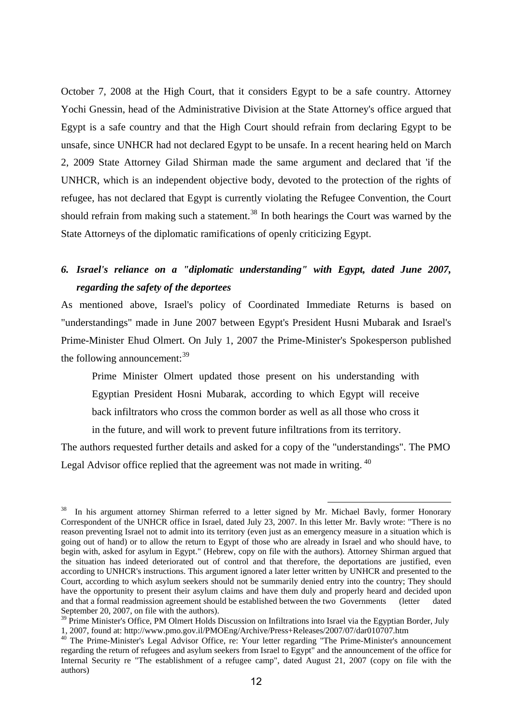October 7, 2008 at the High Court, that it considers Egypt to be a safe country. Attorney Yochi Gnessin, head of the Administrative Division at the State Attorney's office argued that Egypt is a safe country and that the High Court should refrain from declaring Egypt to be unsafe, since UNHCR had not declared Egypt to be unsafe. In a recent hearing held on March 2, 2009 State Attorney Gilad Shirman made the same argument and declared that 'if the UNHCR, which is an independent objective body, devoted to the protection of the rights of refugee, has not declared that Egypt is currently violating the Refugee Convention, the Court should refrain from making such a statement.<sup>[38](#page-11-0)</sup> In both hearings the Court was warned by the State Attorneys of the diplomatic ramifications of openly criticizing Egypt.

## *6. Israel's reliance on a "diplomatic understanding" with Egypt, dated June 2007, regarding the safety of the deportees*

As mentioned above, Israel's policy of Coordinated Immediate Returns is based on "understandings" made in June 2007 between Egypt's President Husni Mubarak and Israel's Prime-Minister Ehud Olmert. On July 1, 2007 the Prime-Minister's Spokesperson published the following announcement:  $39$ 

Prime Minister Olmert updated those present on his understanding with Egyptian President Hosni Mubarak, according to which Egypt will receive back infiltrators who cross the common border as well as all those who cross it

in the future, and will work to prevent future infiltrations from its territory.

The authors requested further details and asked for a copy of the "understandings". The PMO Legal Advisor office replied that the agreement was not made in writing. <sup>[40](#page-11-2)</sup>

<span id="page-11-0"></span>In his argument attorney Shirman referred to a letter signed by Mr. Michael Bavly, former Honorary Correspondent of the UNHCR office in Israel, dated July 23, 2007. In this letter Mr. Bavly wrote: "There is no reason preventing Israel not to admit into its territory (even just as an emergency measure in a situation which is going out of hand) or to allow the return to Egypt of those who are already in Israel and who should have, to begin with, asked for asylum in Egypt." (Hebrew, copy on file with the authors). Attorney Shirman argued that the situation has indeed deteriorated out of control and that therefore, the deportations are justified, even according to UNHCR's instructions. This argument ignored a later letter written by UNHCR and presented to the Court, according to which asylum seekers should not be summarily denied entry into the country; They should have the opportunity to present their asylum claims and have them duly and properly heard and decided upon and that a formal readmission agreement should be established between the two Governments (letter dated September 20, 2007, on file with the authors).

<span id="page-11-1"></span><sup>&</sup>lt;sup>39</sup> Prime Minister's Office, PM Olmert Holds Discussion on Infiltrations into Israel via the Egyptian Border, July 1, 2007, found at: http://www.pmo.gov.il/PMOEng/Archive/Press+Releases/2007/07/dar010707.htm 40 The Prime-Minister's Legal Advisor Office, re: Your letter regarding "The Prime-Minister's announcement

<span id="page-11-2"></span>regarding the return of refugees and asylum seekers from Israel to Egypt" and the announcement of the office for Internal Security re "The establishment of a refugee camp", dated August 21, 2007 (copy on file with the authors)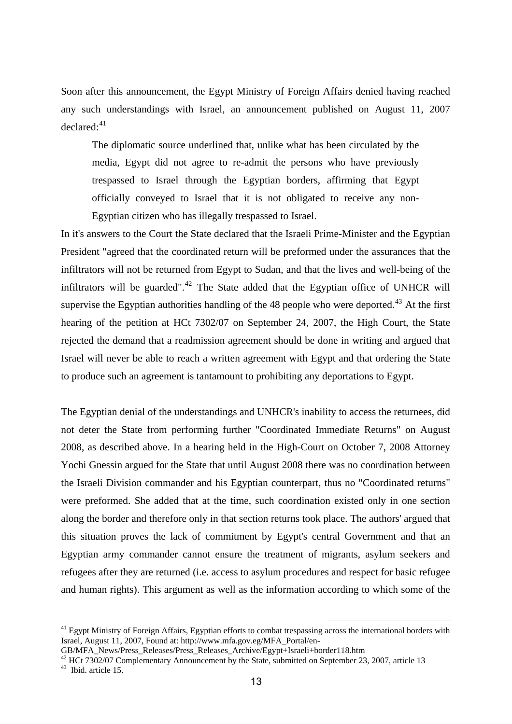Soon after this announcement, the Egypt Ministry of Foreign Affairs denied having reached any such understandings with Israel, an announcement published on August 11, 2007  $declared:$ <sup>[41](#page-12-0)</sup>

The diplomatic source underlined that, unlike what has been circulated by the media, Egypt did not agree to re-admit the persons who have previously trespassed to Israel through the Egyptian borders, affirming that Egypt officially conveyed to Israel that it is not obligated to receive any non-Egyptian citizen who has illegally trespassed to Israel.

In it's answers to the Court the State declared that the Israeli Prime-Minister and the Egyptian President "agreed that the coordinated return will be preformed under the assurances that the infiltrators will not be returned from Egypt to Sudan, and that the lives and well-being of the infiltrators will be guarded".<sup>[42](#page-12-1)</sup> The State added that the Egyptian office of UNHCR will supervise the Egyptian authorities handling of the 48 people who were deported.<sup>[43](#page-12-2)</sup> At the first hearing of the petition at HCt 7302/07 on September 24, 2007, the High Court, the State rejected the demand that a readmission agreement should be done in writing and argued that Israel will never be able to reach a written agreement with Egypt and that ordering the State to produce such an agreement is tantamount to prohibiting any deportations to Egypt.

The Egyptian denial of the understandings and UNHCR's inability to access the returnees, did not deter the State from performing further "Coordinated Immediate Returns" on August 2008, as described above. In a hearing held in the High-Court on October 7, 2008 Attorney Yochi Gnessin argued for the State that until August 2008 there was no coordination between the Israeli Division commander and his Egyptian counterpart, thus no "Coordinated returns" were preformed. She added that at the time, such coordination existed only in one section along the border and therefore only in that section returns took place. The authors' argued that this situation proves the lack of commitment by Egypt's central Government and that an Egyptian army commander cannot ensure the treatment of migrants, asylum seekers and refugees after they are returned (i.e. access to asylum procedures and respect for basic refugee and human rights). This argument as well as the information according to which some of the

<span id="page-12-0"></span> $41$  Egypt Ministry of Foreign Affairs, Egyptian efforts to combat trespassing across the international borders with Israel, August 11, 2007, Found at: http://www.mfa.gov.eg/MFA\_Portal/en-

GB/MFA\_News/Press\_Releases/Press\_Releases\_Archive/Egypt+Israeli+border118.htm

<span id="page-12-2"></span><span id="page-12-1"></span> $42$  HCt 7302/07 Complementary Announcement by the State, submitted on September 23, 2007, article 13 <sup>43</sup> Ibid. article 15.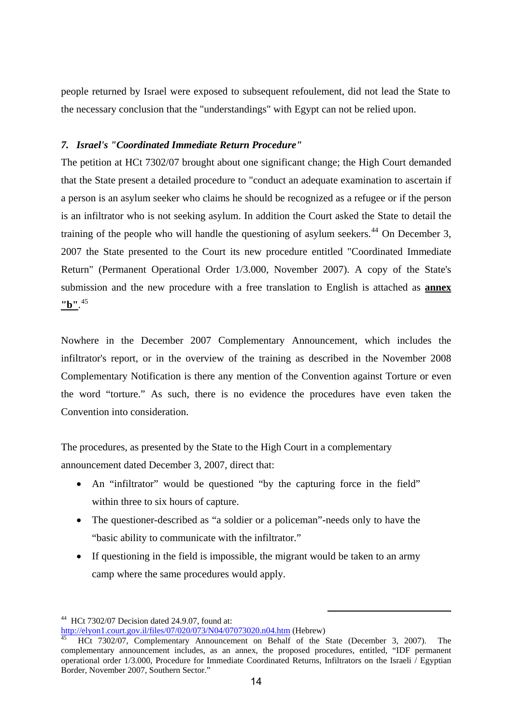people returned by Israel were exposed to subsequent refoulement, did not lead the State to the necessary conclusion that the "understandings" with Egypt can not be relied upon.

### *7. Israel's "Coordinated Immediate Return Procedure"*

The petition at HCt 7302/07 brought about one significant change; the High Court demanded that the State present a detailed procedure to "conduct an adequate examination to ascertain if a person is an asylum seeker who claims he should be recognized as a refugee or if the person is an infiltrator who is not seeking asylum. In addition the Court asked the State to detail the training of the people who will handle the questioning of asylum seekers.<sup>[44](#page-13-0)</sup> On December 3, 2007 the State presented to the Court its new procedure entitled "Coordinated Immediate Return" (Permanent Operational Order 1/3.000, November 2007). A copy of the State's submission and the new procedure with a free translation to English is attached as **annex "b"**. [45](#page-13-1)

Nowhere in the December 2007 Complementary Announcement, which includes the infiltrator's report, or in the overview of the training as described in the November 2008 Complementary Notification is there any mention of the Convention against Torture or even the word "torture." As such, there is no evidence the procedures have even taken the Convention into consideration.

The procedures, as presented by the State to the High Court in a complementary announcement dated December 3, 2007, direct that:

- An "infiltrator" would be questioned "by the capturing force in the field" within three to six hours of capture.
- The questioner-described as "a soldier or a policeman"-needs only to have the "basic ability to communicate with the infiltrator."
- If questioning in the field is impossible, the migrant would be taken to an army camp where the same procedures would apply.

<span id="page-13-0"></span><sup>&</sup>lt;sup>44</sup> HCt 7302/07 Decision dated 24.9.07, found at:<br>http://elyon1.court.gov.il/files/07/020/073/N04/07073020.n04.htm (Hebrew)

<span id="page-13-1"></span>HCt 7302/07, Complementary Announcement on Behalf of the State (December 3, 2007). The complementary announcement includes, as an annex, the proposed procedures, entitled, "IDF permanent operational order 1/3.000, Procedure for Immediate Coordinated Returns, Infiltrators on the Israeli / Egyptian Border, November 2007, Southern Sector."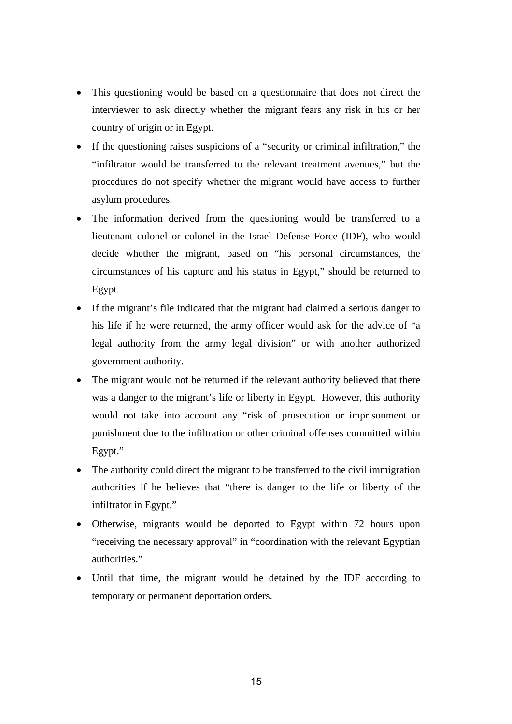- This questioning would be based on a questionnaire that does not direct the interviewer to ask directly whether the migrant fears any risk in his or her country of origin or in Egypt.
- If the questioning raises suspicions of a "security or criminal infiltration," the "infiltrator would be transferred to the relevant treatment avenues," but the procedures do not specify whether the migrant would have access to further asylum procedures.
- The information derived from the questioning would be transferred to a lieutenant colonel or colonel in the Israel Defense Force (IDF), who would decide whether the migrant, based on "his personal circumstances, the circumstances of his capture and his status in Egypt," should be returned to Egypt.
- If the migrant's file indicated that the migrant had claimed a serious danger to his life if he were returned, the army officer would ask for the advice of "a legal authority from the army legal division" or with another authorized government authority.
- The migrant would not be returned if the relevant authority believed that there was a danger to the migrant's life or liberty in Egypt. However, this authority would not take into account any "risk of prosecution or imprisonment or punishment due to the infiltration or other criminal offenses committed within Egypt."
- The authority could direct the migrant to be transferred to the civil immigration authorities if he believes that "there is danger to the life or liberty of the infiltrator in Egypt."
- Otherwise, migrants would be deported to Egypt within 72 hours upon "receiving the necessary approval" in "coordination with the relevant Egyptian authorities."
- Until that time, the migrant would be detained by the IDF according to temporary or permanent deportation orders.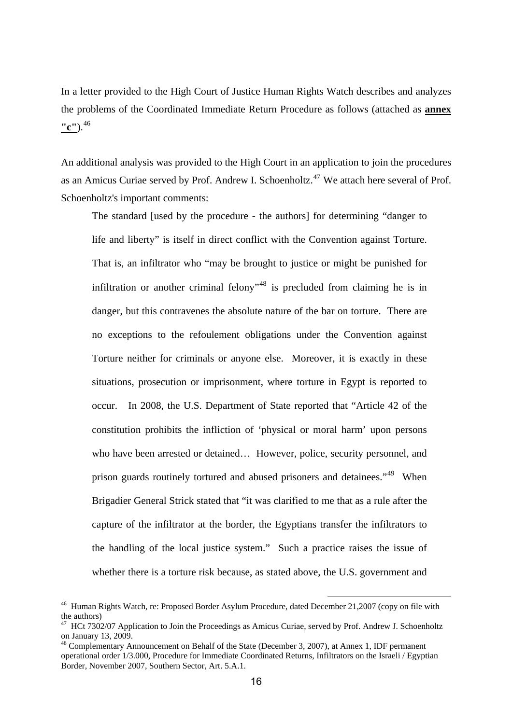In a letter provided to the High Court of Justice Human Rights Watch describes and analyzes the problems of the Coordinated Immediate Return Procedure as follows (attached as **annex "c"**).[46](#page-15-0)

An additional analysis was provided to the High Court in an application to join the procedures as an Amicus Curiae served by Prof. Andrew I. Schoenholtz.<sup>[47](#page-15-1)</sup> We attach here several of Prof. Schoenholtz's important comments:

The standard [used by the procedure - the authors] for determining "danger to life and liberty" is itself in direct conflict with the Convention against Torture. That is, an infiltrator who "may be brought to justice or might be punished for infiltration or another criminal felony<sup>1[48](#page-15-2)</sup> is precluded from claiming he is in danger, but this contravenes the absolute nature of the bar on torture. There are no exceptions to the refoulement obligations under the Convention against Torture neither for criminals or anyone else. Moreover, it is exactly in these situations, prosecution or imprisonment, where torture in Egypt is reported to occur. In 2008, the U.S. Department of State reported that "Article 42 of the constitution prohibits the infliction of 'physical or moral harm' upon persons who have been arrested or detained… However, police, security personnel, and prison guards routinely tortured and abused prisoners and detainees."<sup>[49](#page-15-3)</sup> When Brigadier General Strick stated that "it was clarified to me that as a rule after the capture of the infiltrator at the border, the Egyptians transfer the infiltrators to the handling of the local justice system." Such a practice raises the issue of whether there is a torture risk because, as stated above, the U.S. government and

<span id="page-15-0"></span><sup>&</sup>lt;sup>46</sup> Human Rights Watch, re: Proposed Border Asylum Procedure, dated December 21,2007 (copy on file with the authors)

<span id="page-15-3"></span><span id="page-15-1"></span> $^{47}$  HCt 7302/07 Application to Join the Proceedings as Amicus Curiae, served by Prof. Andrew J. Schoenholtz on January 13, 2009.

<span id="page-15-2"></span><sup>&</sup>lt;sup>48</sup> Complementary Announcement on Behalf of the State (December 3, 2007), at Annex 1, IDF permanent operational order 1/3.000, Procedure for Immediate Coordinated Returns, Infiltrators on the Israeli / Egyptian Border, November 2007, Southern Sector, Art. 5.A.1.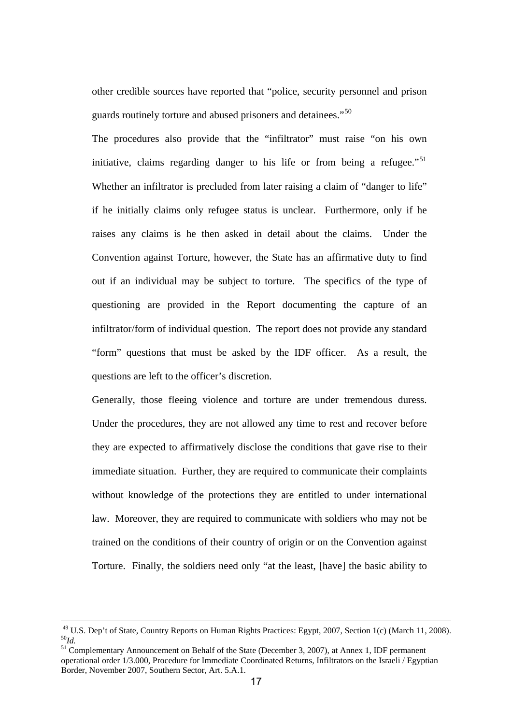other credible sources have reported that "police, security personnel and prison guards routinely torture and abused prisoners and detainees."<sup>[50](#page-16-0)</sup>

The procedures also provide that the "infiltrator" must raise "on his own initiative, claims regarding danger to his life or from being a refugee.<sup>"[51](#page-16-1)</sup> Whether an infiltrator is precluded from later raising a claim of "danger to life" if he initially claims only refugee status is unclear. Furthermore, only if he raises any claims is he then asked in detail about the claims. Under the Convention against Torture, however, the State has an affirmative duty to find out if an individual may be subject to torture. The specifics of the type of questioning are provided in the Report documenting the capture of an infiltrator/form of individual question. The report does not provide any standard "form" questions that must be asked by the IDF officer. As a result, the questions are left to the officer's discretion.

Generally, those fleeing violence and torture are under tremendous duress. Under the procedures, they are not allowed any time to rest and recover before they are expected to affirmatively disclose the conditions that gave rise to their immediate situation. Further, they are required to communicate their complaints without knowledge of the protections they are entitled to under international law. Moreover, they are required to communicate with soldiers who may not be trained on the conditions of their country of origin or on the Convention against Torture. Finally, the soldiers need only "at the least, [have] the basic ability to

<sup>&</sup>lt;sup>49</sup> U.S. Dep't of State, Country Reports on Human Rights Practices: Egypt, 2007, Section 1(c) (March 11, 2008).  $50<sub>Id</sub>$ .

<span id="page-16-1"></span><span id="page-16-0"></span><sup>&</sup>lt;sup>51</sup> Complementary Announcement on Behalf of the State (December 3, 2007), at Annex 1, IDF permanent operational order 1/3.000, Procedure for Immediate Coordinated Returns, Infiltrators on the Israeli / Egyptian Border, November 2007, Southern Sector, Art. 5.A.1.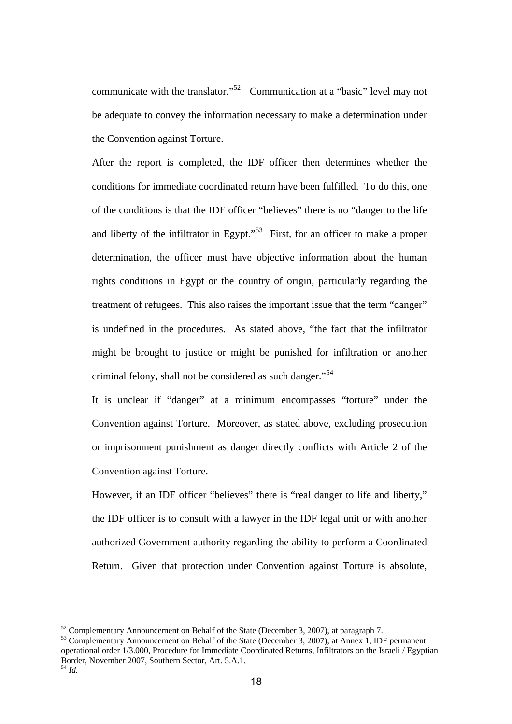communicate with the translator."<sup>[52](#page-17-0)</sup> Communication at a "basic" level may not be adequate to convey the information necessary to make a determination under the Convention against Torture.

After the report is completed, the IDF officer then determines whether the conditions for immediate coordinated return have been fulfilled. To do this, one of the conditions is that the IDF officer "believes" there is no "danger to the life and liberty of the infiltrator in Egypt."<sup>[53](#page-17-1)</sup> First, for an officer to make a proper determination, the officer must have objective information about the human rights conditions in Egypt or the country of origin, particularly regarding the treatment of refugees. This also raises the important issue that the term "danger" is undefined in the procedures. As stated above, "the fact that the infiltrator might be brought to justice or might be punished for infiltration or another criminal felony, shall not be considered as such danger."<sup>[54](#page-17-2)</sup>

It is unclear if "danger" at a minimum encompasses "torture" under the Convention against Torture. Moreover, as stated above, excluding prosecution or imprisonment punishment as danger directly conflicts with Article 2 of the Convention against Torture.

However, if an IDF officer "believes" there is "real danger to life and liberty," the IDF officer is to consult with a lawyer in the IDF legal unit or with another authorized Government authority regarding the ability to perform a Coordinated Return. Given that protection under Convention against Torture is absolute,

<span id="page-17-0"></span> $52$  Complementary Announcement on Behalf of the State (December 3, 2007), at paragraph 7.

<span id="page-17-2"></span><span id="page-17-1"></span><sup>&</sup>lt;sup>53</sup> Complementary Announcement on Behalf of the State (December 3, 2007), at Annex 1, IDF permanent operational order 1/3.000, Procedure for Immediate Coordinated Returns, Infiltrators on the Israeli / Egyptian Border, November 2007, Southern Sector, Art. 5.A.1.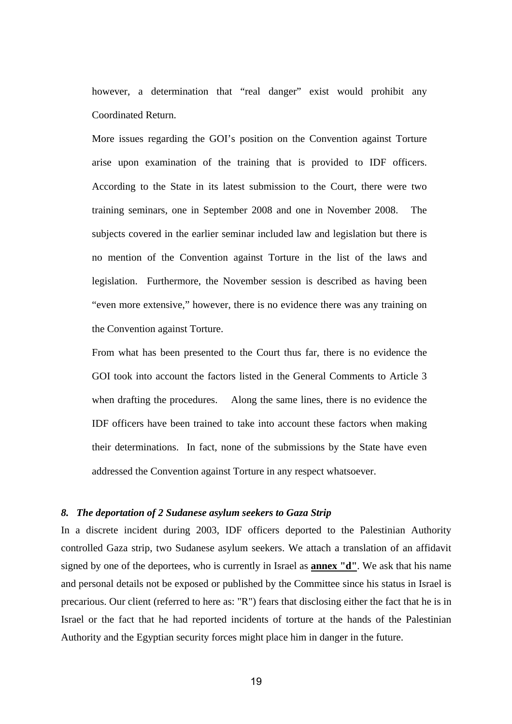however, a determination that "real danger" exist would prohibit any Coordinated Return.

More issues regarding the GOI's position on the Convention against Torture arise upon examination of the training that is provided to IDF officers. According to the State in its latest submission to the Court, there were two training seminars, one in September 2008 and one in November 2008. The subjects covered in the earlier seminar included law and legislation but there is no mention of the Convention against Torture in the list of the laws and legislation. Furthermore, the November session is described as having been "even more extensive," however, there is no evidence there was any training on the Convention against Torture.

From what has been presented to the Court thus far, there is no evidence the GOI took into account the factors listed in the General Comments to Article 3 when drafting the procedures. Along the same lines, there is no evidence the IDF officers have been trained to take into account these factors when making their determinations. In fact, none of the submissions by the State have even addressed the Convention against Torture in any respect whatsoever.

#### *8. The deportation of 2 Sudanese asylum seekers to Gaza Strip*

In a discrete incident during 2003, IDF officers deported to the Palestinian Authority controlled Gaza strip, two Sudanese asylum seekers. We attach a translation of an affidavit signed by one of the deportees, who is currently in Israel as **annex "d"**. We ask that his name and personal details not be exposed or published by the Committee since his status in Israel is precarious. Our client (referred to here as: "R") fears that disclosing either the fact that he is in Israel or the fact that he had reported incidents of torture at the hands of the Palestinian Authority and the Egyptian security forces might place him in danger in the future.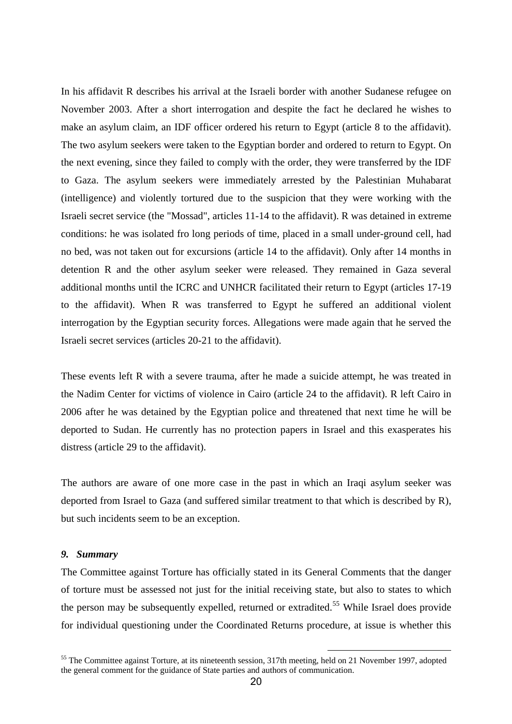In his affidavit R describes his arrival at the Israeli border with another Sudanese refugee on November 2003. After a short interrogation and despite the fact he declared he wishes to make an asylum claim, an IDF officer ordered his return to Egypt (article 8 to the affidavit). The two asylum seekers were taken to the Egyptian border and ordered to return to Egypt. On the next evening, since they failed to comply with the order, they were transferred by the IDF to Gaza. The asylum seekers were immediately arrested by the Palestinian Muhabarat (intelligence) and violently tortured due to the suspicion that they were working with the Israeli secret service (the "Mossad", articles 11-14 to the affidavit). R was detained in extreme conditions: he was isolated fro long periods of time, placed in a small under-ground cell, had no bed, was not taken out for excursions (article 14 to the affidavit). Only after 14 months in detention R and the other asylum seeker were released. They remained in Gaza several additional months until the ICRC and UNHCR facilitated their return to Egypt (articles 17-19 to the affidavit). When R was transferred to Egypt he suffered an additional violent interrogation by the Egyptian security forces. Allegations were made again that he served the Israeli secret services (articles 20-21 to the affidavit).

These events left R with a severe trauma, after he made a suicide attempt, he was treated in the Nadim Center for victims of violence in Cairo (article 24 to the affidavit). R left Cairo in 2006 after he was detained by the Egyptian police and threatened that next time he will be deported to Sudan. He currently has no protection papers in Israel and this exasperates his distress (article 29 to the affidavit).

The authors are aware of one more case in the past in which an Iraqi asylum seeker was deported from Israel to Gaza (and suffered similar treatment to that which is described by R), but such incidents seem to be an exception.

#### *9. Summary*

The Committee against Torture has officially stated in its General Comments that the danger of torture must be assessed not just for the initial receiving state, but also to states to which the person may be subsequently expelled, returned or extradited.<sup>[55](#page-19-0)</sup> While Israel does provide for individual questioning under the Coordinated Returns procedure, at issue is whether this

<span id="page-19-0"></span><sup>&</sup>lt;sup>55</sup> The Committee against Torture, at its nineteenth session, 317th meeting, held on 21 November 1997, adopted the general comment for the guidance of State parties and authors of communication.